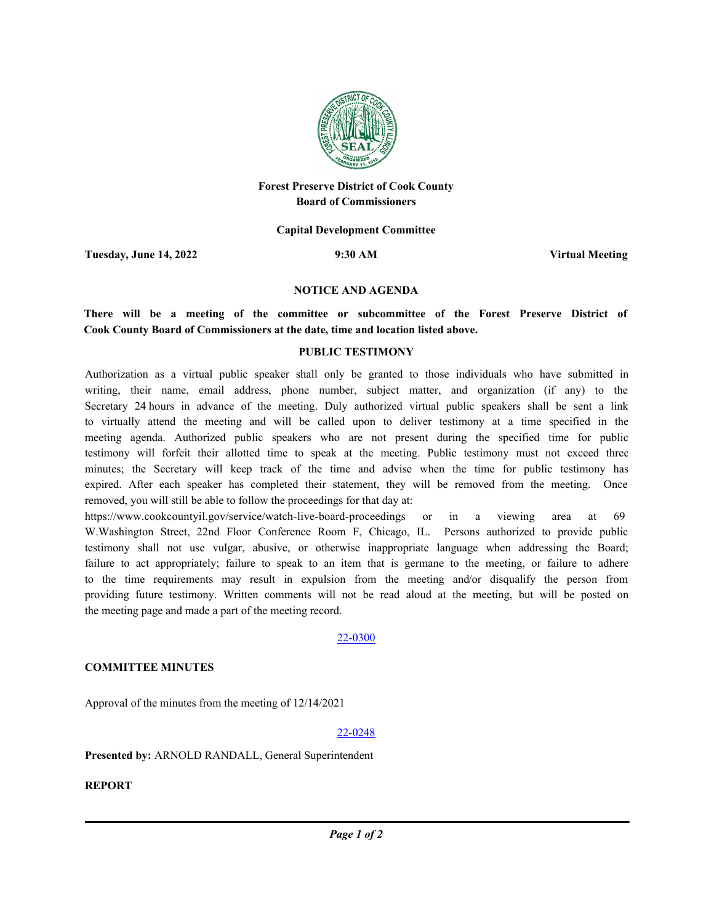

# **Forest Preserve District of Cook County Board of Commissioners**

**Capital Development Committee**

**Tuesday, June 14, 2022 9:30 AM Virtual Meeting**

#### **NOTICE AND AGENDA**

**There will be a meeting of the committee or subcommittee of the Forest Preserve District of Cook County Board of Commissioners at the date, time and location listed above.**

### **PUBLIC TESTIMONY**

Authorization as a virtual public speaker shall only be granted to those individuals who have submitted in writing, their name, email address, phone number, subject matter, and organization (if any) to the Secretary 24 hours in advance of the meeting. Duly authorized virtual public speakers shall be sent a link to virtually attend the meeting and will be called upon to deliver testimony at a time specified in the meeting agenda. Authorized public speakers who are not present during the specified time for public testimony will forfeit their allotted time to speak at the meeting. Public testimony must not exceed three minutes; the Secretary will keep track of the time and advise when the time for public testimony has expired. After each speaker has completed their statement, they will be removed from the meeting. Once removed, you will still be able to follow the proceedings for that day at:

https://www.cookcountyil.gov/service/watch-live-board-proceedings or in a viewing area at 69 W.Washington Street, 22nd Floor Conference Room F, Chicago, IL. Persons authorized to provide public testimony shall not use vulgar, abusive, or otherwise inappropriate language when addressing the Board; failure to act appropriately; failure to speak to an item that is germane to the meeting, or failure to adhere to the time requirements may result in expulsion from the meeting and/or disqualify the person from providing future testimony. Written comments will not be read aloud at the meeting, but will be posted on the meeting page and made a part of the meeting record.

#### 22-0300

# **COMMITTEE MINUTES**

Approval of the minutes from the meeting of 12/14/2021

# 22-0248

**Presented by:** ARNOLD RANDALL, General Superintendent

**REPORT**